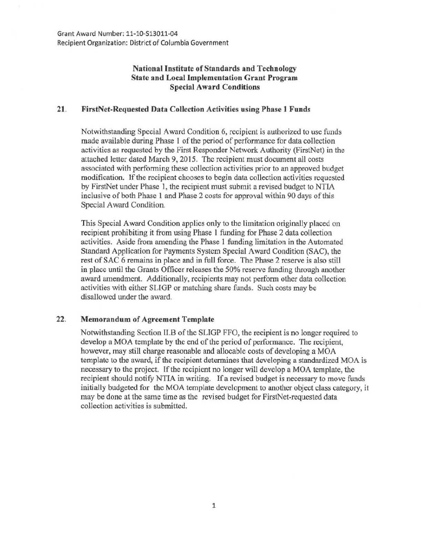Grant Award Number: 11-10-513011-04 Recipient Organization: District of Columbia Government

## National Institute of Standards and Technology State and Local Implementation Grant Program Special Award Conditions

## 21. FirstNet-Requested Data Collection Activities using Phase 1 Funds

Notwithstanding Special Award Condition 6, recipient is authorized to usc funds made available during Phase 1 of the period of performance for data collection activities as requested by the First Responder Network Authority (FirstNet) in the attached letter dated March 9, 2015. The recipient must document all costs associated with performing these collection activities prior to an approved budget modification. If the recipient chooses to begin data collection activities requested by FirstNet under Phase 1, the recipient must submit a revised budget to NTIA inclusive of both Phase l and Phase 2 costs for approval within 90 days of this Special Award Condition.

This Special Award Condition applies only to the limitation originally placed on recipient prohibiting it from using Phase 1 funding for Phase 2 data collection activities. Aside from amending the Phase 1 funding limitation in the Automated Standard Application for Payments System Special Award Condition (SAC), the rest of SAC 6 remains in place and in full force. The Phase 2 reserve is also still in place until the Grants Officer releases the 50% reserve funding through another award amendment. Additionally, recipients may not perform other data collection activities with either SUGP or matching share funds. Such costs may be disallowed under the award.

## 22. Memorandum of Agreement Template

Notwithstanding Section ll.B of the SLIGP FFO, the recipient is no longer required to develop a MOA template by the end of the period of performance. The recipient, however, may still charge reasonable and allocable costs of developing a MOA template to the award, if the recipient determines that developing a standardized MOA is necessary to the project. If the recipient no longer will develop a MOA template, the recipient should notify NTIA in writing. If a revised budget is necessary to move funds initially budgeted for the MOA template development to another object class category, it may be done at the same time as the revised budget for FirstNet-requested data collection activities is submitted.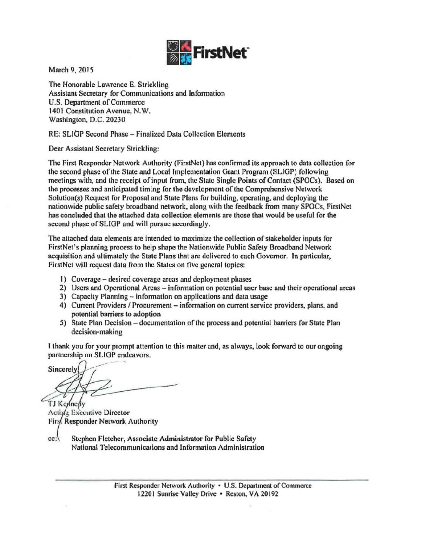

March 9, 2015

The Honorable Lawrence E. Strickling Assistant Secretary for Communications and Information U.S. Department of Commerce 1401 Constitution Avenue, N. W. Washington, D.C. 20230

RE: SLIGP Second Phase - Finalized Data Collection Elements

Dear Assistant Secretary Strickling:

The First Responder Network Authority (FirstNet) has confirmed its approach to data collection for the second phase of the State and Local Implementation Grant Program (SLIGP) following meetings with, and the receipt of input from, the State Single Points of Contact (SPOCs). Based on the processes and anticipated timing for the development of the Comprehensive Network Solution(s) Request for Proposal and State Plans for building, operating, and deploying the nationwide public safety broadband network, along with the feedback from many SPOCs, FirstNet has concluded that the attached data collection elements are those that would be useful for the second phase of SLIGP and will pursue accordingly.

The attached data elements are intended to maximize the collection of stakeholder inputs for FirstNet's planning process to help shape the Nationwide Public Safety Broadband Network acquisition and ultimately the State Plans that are delivered to each Governor. Jn particular, FirstNct will request data from the States on five general topics:

- 1) Coverage- desired coverage areas and deployment phases
- 2) Users and Operational Areas information on potential user base and their operational areas
- 3) Capacity Planning information on applications and data usage
- 4) Current Providers / Procurement information on current service providers, plans, and potential barriers to adoption
- 5) State Plan Decision documentation of the process and potential barriers for State Plan decision-making

I thank you for your prompt attention to this matter. and, as always, look forward to our ongoing partnership on SLIGP endeavors.

' Sincerely TJ Kennedy

Active Executive Director Firs Responder Network Authority

cc: Stephen Fletcher, Associate Administrator for Public Safety National Telecommunications and Information Administration